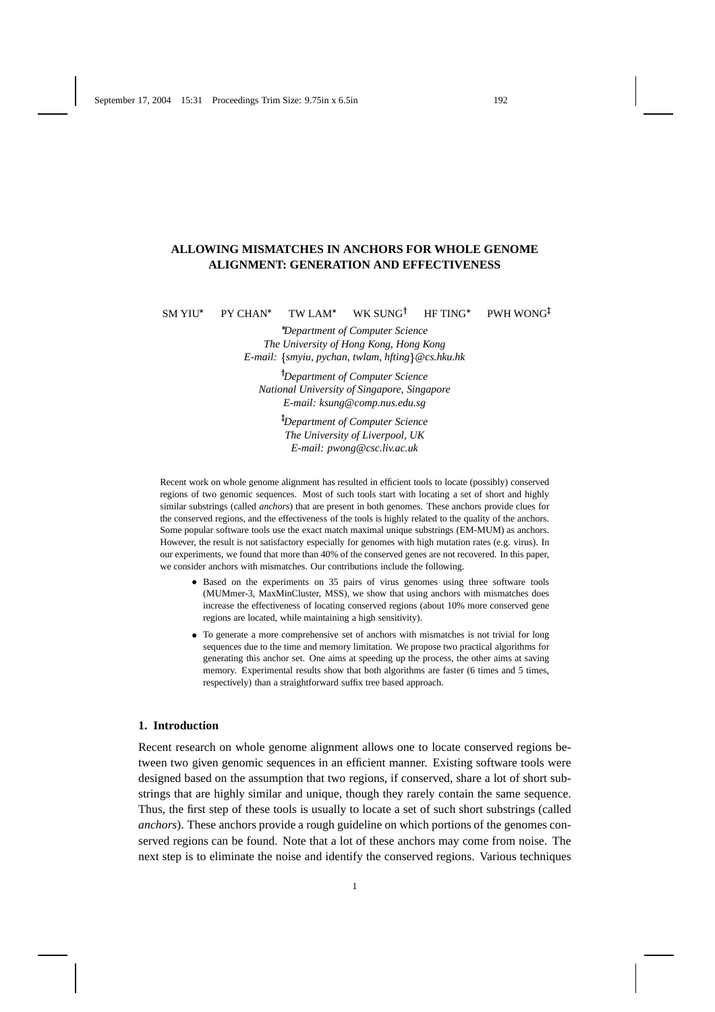# **ALLOWING MISMATCHES IN ANCHORS FOR WHOLE GENOME ALIGNMENT: GENERATION AND EFFECTIVENESS**

SM YIU PY CHAN TW LAM WK SUNG<sup>†</sup> HF TING PWH WONG<sup>‡</sup>

 *Department of Computer Science The University of Hong Kong, Hong Kong E-mail: smyiu, pychan, twlam, hfting@cs.hku.hk*

 *Department of Computer Science National University of Singapore, Singapore E-mail: ksung@comp.nus.edu.sg*

> - *Department of Computer Science The University of Liverpool, UK E-mail: pwong@csc.liv.ac.uk*

Recent work on whole genome alignment has resulted in efficient tools to locate (possibly) conserved regions of two genomic sequences. Most of such tools start with locating a set of short and highly similar substrings (called *anchors*) that are present in both genomes. These anchors provide clues for the conserved regions, and the effectiveness of the tools is highly related to the quality of the anchors. Some popular software tools use the exact match maximal unique substrings (EM-MUM) as anchors. However, the result is not satisfactory especially for genomes with high mutation rates (e.g. virus). In our experiments, we found that more than 40% of the conserved genes are not recovered. In this paper, we consider anchors with mismatches. Our contributions include the following.

- Based on the experiments on 35 pairs of virus genomes using three software tools (MUMmer-3, MaxMinCluster, MSS), we show that using anchors with mismatches does increase the effectiveness of locating conserved regions (about 10% more conserved gene regions are located, while maintaining a high sensitivity).
- To generate a more comprehensive set of anchors with mismatches is not trivial for long sequences due to the time and memory limitation. We propose two practical algorithms for generating this anchor set. One aims at speeding up the process, the other aims at saving memory. Experimental results show that both algorithms are faster (6 times and 5 times, respectively) than a straightforward suffix tree based approach.

### **1. Introduction**

Recent research on whole genome alignment allows one to locate conserved regions between two given genomic sequences in an efficient manner. Existing software tools were designed based on the assumption that two regions, if conserved, share a lot of short substrings that are highly similar and unique, though they rarely contain the same sequence. Thus, the first step of these tools is usually to locate a set of such short substrings (called *anchors*). These anchors provide a rough guideline on which portions of the genomes conserved regions can be found. Note that a lot of these anchors may come from noise. The next step is to eliminate the noise and identify the conserved regions. Various techniques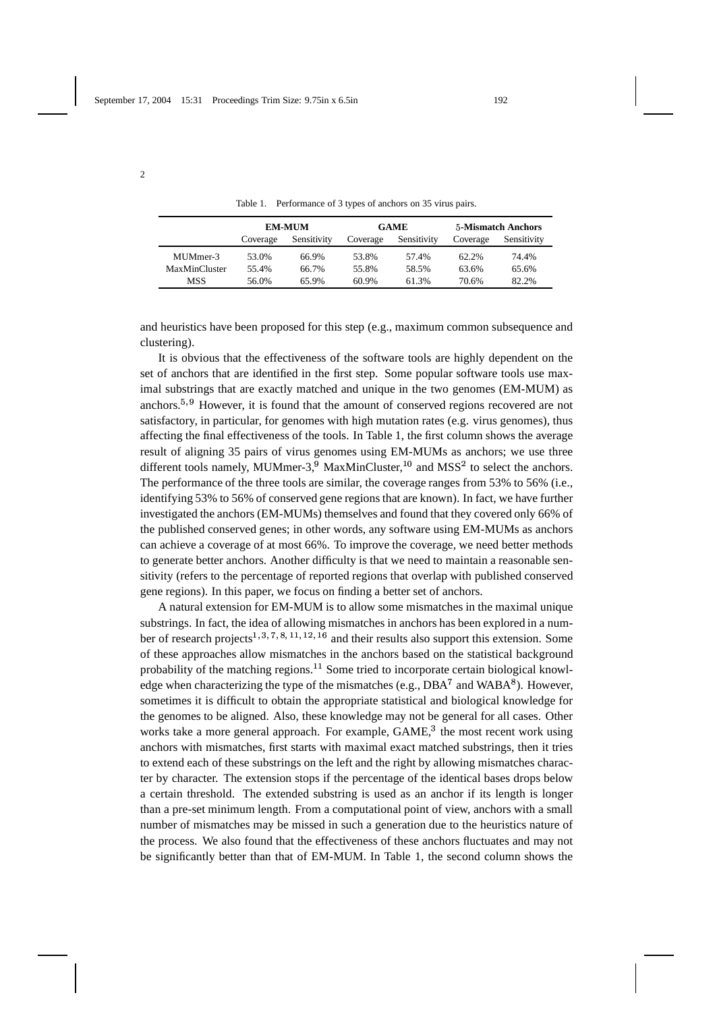2

Table 1. Performance of 3 types of anchors on 35 virus pairs.

|               | <b>EM-MUM</b> |             |          | <b>GAME</b> | <b>5-Mismatch Anchors</b> |             |
|---------------|---------------|-------------|----------|-------------|---------------------------|-------------|
|               | Coverage      | Sensitivity | Coverage | Sensitivity | Coverage                  | Sensitivity |
| MUMmer-3      | 53.0%         | 66.9%       | 53.8%    | 57.4%       | 62.2%                     | 74.4%       |
| MaxMinCluster | 55.4%         | 66.7%       | 55.8%    | 58.5%       | 63.6%                     | 65.6%       |
| <b>MSS</b>    | 56.0%         | 65.9%       | 60.9%    | 61.3%       | 70.6%                     | 82.2%       |

and heuristics have been proposed for this step (e.g., maximum common subsequence and clustering).

It is obvious that the effectiveness of the software tools are highly dependent on the set of anchors that are identified in the first step. Some popular software tools use maximal substrings that are exactly matched and unique in the two genomes (EM-MUM) as anchors.<sup>5, 9</sup> However, it is found that the amount of conserved regions recovered are not satisfactory, in particular, for genomes with high mutation rates (e.g. virus genomes), thus affecting the final effectiveness of the tools. In Table 1, the first column shows the average result of aligning 35 pairs of virus genomes using EM-MUMs as anchors; we use three different tools namely, MUMmer-3,<sup>9</sup> MaxMinCluster,<sup>10</sup> and MSS<sup>2</sup> to select the anchors. The performance of the three tools are similar, the coverage ranges from 53% to 56% (i.e., identifying 53% to 56% of conserved gene regions that are known). In fact, we have further investigated the anchors (EM-MUMs) themselves and found that they covered only 66% of the published conserved genes; in other words, any software using EM-MUMs as anchors can achieve a coverage of at most 66%. To improve the coverage, we need better methods to generate better anchors. Another difficulty is that we need to maintain a reasonable sensitivity (refers to the percentage of reported regions that overlap with published conserved gene regions). In this paper, we focus on finding a better set of anchors.

A natural extension for EM-MUM is to allow some mismatches in the maximal unique substrings. In fact, the idea of allowing mismatches in anchors has been explored in a number of research projects<sup>1, 3, 7, 8, 11, 12, 16</sup> and their results also support this extension. Some of these approaches allow mismatches in the anchors based on the statistical background probability of the matching regions.<sup>11</sup> Some tried to incorporate certain biological knowledge when characterizing the type of the mismatches (e.g.,  $DBA^7$  and  $WABA^8$ ). However, sometimes it is difficult to obtain the appropriate statistical and biological knowledge for the genomes to be aligned. Also, these knowledge may not be general for all cases. Other works take a more general approach. For example,  $GAME<sup>3</sup>$ , the most recent work using anchors with mismatches, first starts with maximal exact matched substrings, then it tries to extend each of these substrings on the left and the right by allowing mismatches character by character. The extension stops if the percentage of the identical bases drops below a certain threshold. The extended substring is used as an anchor if its length is longer than a pre-set minimum length. From a computational point of view, anchors with a small number of mismatches may be missed in such a generation due to the heuristics nature of the process. We also found that the effectiveness of these anchors fluctuates and may not be significantly better than that of EM-MUM. In Table 1, the second column shows the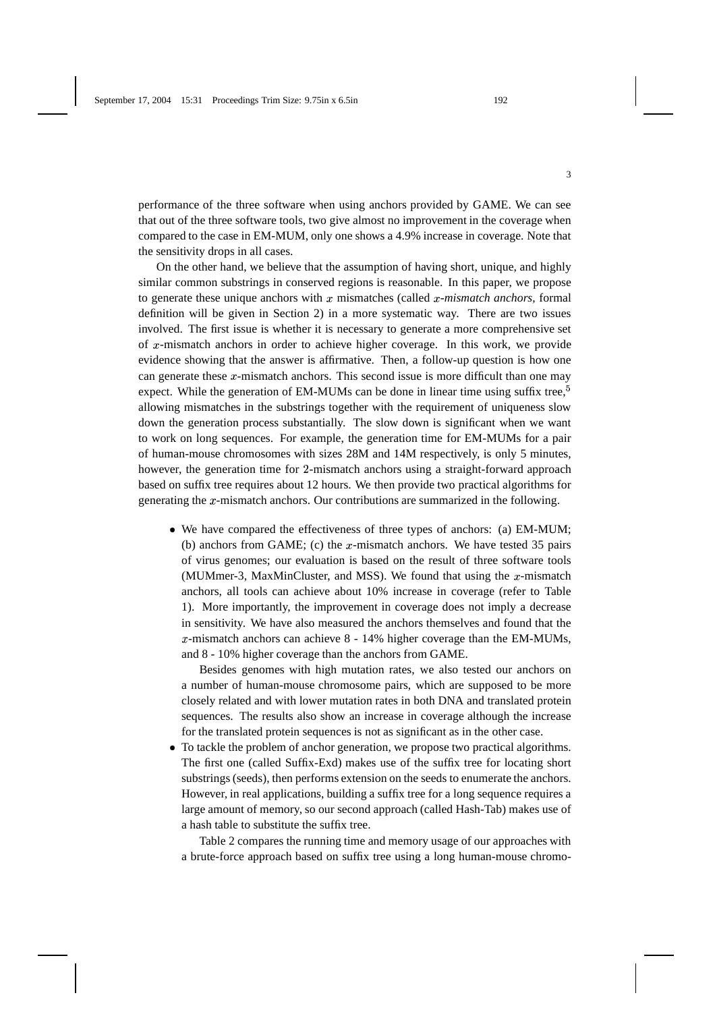performance of the three software when using anchors provided by GAME. We can see that out of the three software tools, two give almost no improvement in the coverage when compared to the case in EM-MUM, only one shows a 4.9% increase in coverage. Note that the sensitivity drops in all cases.

On the other hand, we believe that the assumption of having short, unique, and highly similar common substrings in conserved regions is reasonable. In this paper, we propose to generate these unique anchors with  $x$  mismatches (called  $x$ -mismatch anchors, formal definition will be given in Section 2) in a more systematic way. There are two issues involved. The first issue is whether it is necessary to generate a more comprehensive set of  $x$ -mismatch anchors in order to achieve higher coverage. In this work, we provide evidence showing that the answer is affirmative. Then, a follow-up question is how one can generate these  $x$ -mismatch anchors. This second issue is more difficult than one may expect. While the generation of EM-MUMs can be done in linear time using suffix tree,<sup>5</sup> allowing mismatches in the substrings together with the requirement of uniqueness slow down the generation process substantially. The slow down is significant when we want to work on long sequences. For example, the generation time for EM-MUMs for a pair of human-mouse chromosomes with sizes 28M and 14M respectively, is only 5 minutes, however, the generation time for 2-mismatch anchors using a straight-forward approach based on suffix tree requires about 12 hours. We then provide two practical algorithms for generating the  $x$ -mismatch anchors. Our contributions are summarized in the following.

• We have compared the effectiveness of three types of anchors: (a) EM-MUM; (b) anchors from GAME; (c) the  $x$ -mismatch anchors. We have tested 35 pairs of virus genomes; our evaluation is based on the result of three software tools (MUMmer-3, MaxMinCluster, and MSS). We found that using the  $x$ -mismatch anchors, all tools can achieve about 10% increase in coverage (refer to Table 1). More importantly, the improvement in coverage does not imply a decrease in sensitivity. We have also measured the anchors themselves and found that the  $x$ -mismatch anchors can achieve  $8 - 14\%$  higher coverage than the EM-MUMs, and 8 - 10% higher coverage than the anchors from GAME.

Besides genomes with high mutation rates, we also tested our anchors on a number of human-mouse chromosome pairs, which are supposed to be more closely related and with lower mutation rates in both DNA and translated protein sequences. The results also show an increase in coverage although the increase for the translated protein sequences is not as significant as in the other case.

- To tackle the problem of anchor generation, we propose two practical algorithms. The first one (called Suffix-Exd) makes use of the suffix tree for locating short substrings (seeds), then performs extension on the seeds to enumerate the anchors. However, in real applications, building a suffix tree for a long sequence requires a large amount of memory, so our second approach (called Hash-Tab) makes use of a hash table to substitute the suffix tree.

Table 2 compares the running time and memory usage of our approaches with a brute-force approach based on suffix tree using a long human-mouse chromo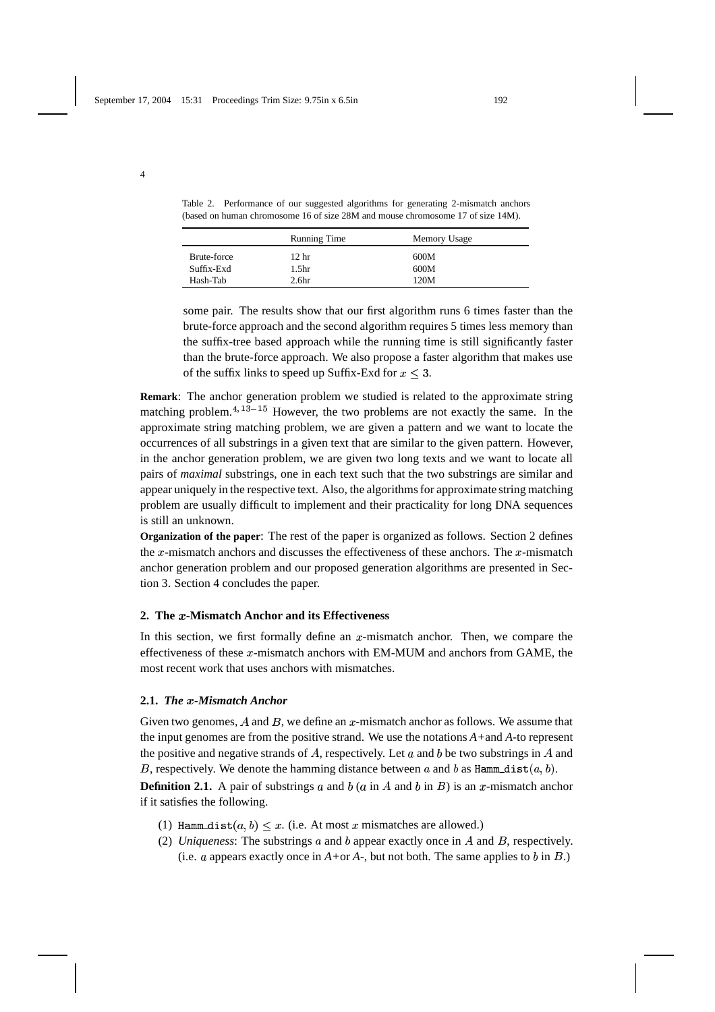4

Table 2. Performance of our suggested algorithms for generating 2-mismatch anchors (based on human chromosome 16 of size 28M and mouse chromosome 17 of size 14M).

|             | <b>Running Time</b> | Memory Usage |
|-------------|---------------------|--------------|
| Brute-force | 12 <sub>hr</sub>    | 600M         |
| Suffix-Exd  | 1.5hr               | 600M         |
| Hash-Tab    | 2.6 <sub>hr</sub>   | 120M         |

some pair. The results show that our first algorithm runs 6 times faster than the brute-force approach and the second algorithm requires 5 times less memory than the suffix-tree based approach while the running time is still significantly faster than the brute-force approach. We also propose a faster algorithm that makes use of the suffix links to speed up Suffix-Exd for  $x \leq 3$ .

**Remark**: The anchor generation problem we studied is related to the approximate string matching problem. $4,13-15$  $h^{13-15}$  However, the two problems are not exactly the same. In the approximate string matching problem, we are given a pattern and we want to locate the occurrences of all substrings in a given text that are similar to the given pattern. However, in the anchor generation problem, we are given two long texts and we want to locate all pairs of *maximal* substrings, one in each text such that the two substrings are similar and appear uniquely in the respective text. Also, the algorithms for approximate string matching problem are usually difficult to implement and their practicality for long DNA sequences is still an unknown.

**Organization of the paper**: The rest of the paper is organized as follows. Section 2 defines the  $x$ -mismatch anchors and discusses the effectiveness of these anchors. The  $x$ -mismatch anchor generation problem and our proposed generation algorithms are presented in Section 3. Section 4 concludes the paper.

## **2. The -Mismatch Anchor and its Effectiveness**

In this section, we first formally define an  $x$ -mismatch anchor. Then, we compare the effectiveness of these  $x$ -mismatch anchors with EM-MUM and anchors from GAME, the most recent work that uses anchors with mismatches.

### **2.1.** *The -Mismatch Anchor*

Given two genomes, A and B, we define an  $x$ -mismatch anchor as follows. We assume that the input genomes are from the positive strand. We use the notations *A+*and *A-*to represent the positive and negative strands of  $A$ , respectively. Let  $a$  and  $b$  be two substrings in  $A$  and B, respectively. We denote the hamming distance between a and b as  $\texttt{Hamm\_dist}(a, b)$ .

**Definition 2.1.** A pair of substrings  $a$  and  $b$  ( $a$  in  $A$  and  $b$  in  $B$ ) is an  $x$ -mismatch anchor if it satisfies the following.

- (1) Hamm\_dist $(a, b) \leq x$ . (i.e. At most x mismatches are allowed.)
- (2) *Uniqueness*: The substrings  $\alpha$  and  $\beta$  appear exactly once in  $\alpha$  and  $\beta$ , respectively. (i.e.  $a$  appears exactly once in  $A+o\tau A$ -, but not both. The same applies to  $b$  in  $B$ .)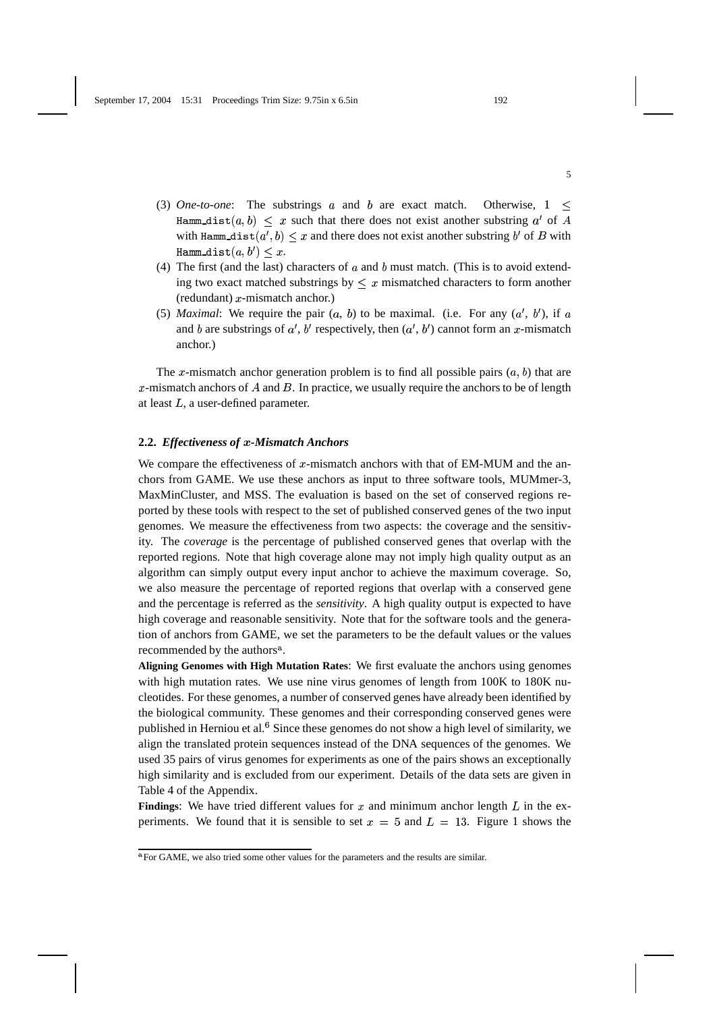- (3) *One-to-one*: The substrings  $\alpha$  and  $\beta$  are exact match. Otherwise,  $1 \leq$ Hamm\_dist $(a, b) \leq x$  such that there does not exist another substring a' of A with Hamm\_dist $(a',b) \leq x$  and there does not exist another substring  $b'$  of  $B$  with  $\texttt{Hamm\_dist}(a, b') \leq x.$
- (4) The first (and the last) characters of  $a$  and  $b$  must match. (This is to avoid extending two exact matched substrings by  $\leq x$  mismatched characters to form another  $(redundant)$   $x$ -mismatch anchor.)
- (5) *Maximal*: We require the pair  $(a, b)$  to be maximal. (i.e. For any  $(a', b')$ , if a and  $b$  are substrings of  $a'$ ,  $b'$  respectively, then  $(a', b')$  cannot form an  $x$ -mismatch anchor.)

The x-mismatch anchor generation problem is to find all possible pairs  $(a, b)$  that are  $x$ -mismatch anchors of  $A$  and  $B$ . In practice, we usually require the anchors to be of length at least  $L$ , a user-defined parameter.

### 2.2. *Effectiveness of x*-Mismatch Anchors

We compare the effectiveness of  $x$ -mismatch anchors with that of EM-MUM and the anchors from GAME. We use these anchors as input to three software tools, MUMmer-3, MaxMinCluster, and MSS. The evaluation is based on the set of conserved regions reported by these tools with respect to the set of published conserved genes of the two input genomes. We measure the effectiveness from two aspects: the coverage and the sensitivity. The *coverage* is the percentage of published conserved genes that overlap with the reported regions. Note that high coverage alone may not imply high quality output as an algorithm can simply output every input anchor to achieve the maximum coverage. So, we also measure the percentage of reported regions that overlap with a conserved gene and the percentage is referred as the *sensitivity*. A high quality output is expected to have high coverage and reasonable sensitivity. Note that for the software tools and the generation of anchors from GAME, we set the parameters to be the default values or the values recommended by the authors<sup>a</sup>.

**Aligning Genomes with High Mutation Rates**: We first evaluate the anchors using genomes with high mutation rates. We use nine virus genomes of length from 100K to 180K nucleotides. For these genomes, a number of conserved genes have already been identified by the biological community. These genomes and their corresponding conserved genes were published in Herniou et al. Since these genomes do not show a high level of similarity, we align the translated protein sequences instead of the DNA sequences of the genomes. We used 35 pairs of virus genomes for experiments as one of the pairs shows an exceptionally high similarity and is excluded from our experiment. Details of the data sets are given in Table 4 of the Appendix.

**Findings:** We have tried different values for  $x$  and minimum anchor length  $L$  in the experiments. We found that it is sensible to set  $x = 5$  and  $L = 13$ . Figure 1 shows the

<sup>&</sup>lt;sup>a</sup>For GAME, we also tried some other values for the parameters and the results are similar.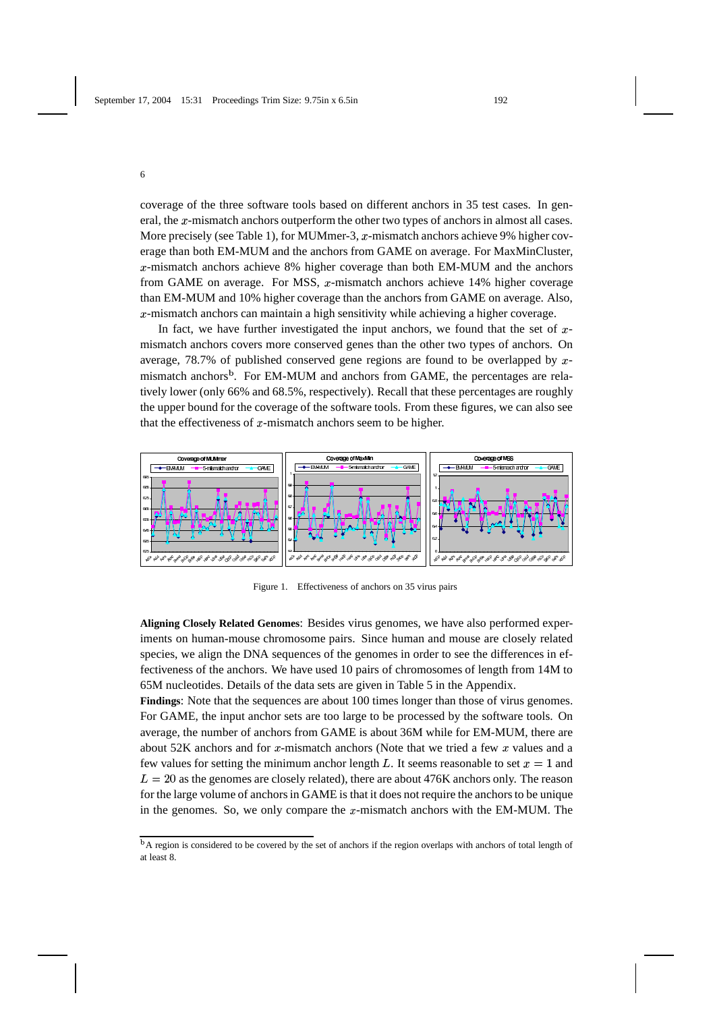coverage of the three software tools based on different anchors in 35 test cases. In general, the x-mismatch anchors outperform the other two types of anchors in almost all cases. More precisely (see Table 1), for MUMmer-3,  $x$ -mismatch anchors achieve 9% higher coverage than both EM-MUM and the anchors from GAME on average. For MaxMinCluster,  $x$ -mismatch anchors achieve 8% higher coverage than both EM-MUM and the anchors from GAME on average. For MSS,  $x$ -mismatch anchors achieve 14% higher coverage than EM-MUM and 10% higher coverage than the anchors from GAME on average. Also,  $x$ -mismatch anchors can maintain a high sensitivity while achieving a higher coverage.

In fact, we have further investigated the input anchors, we found that the set of  $x$ mismatch anchors covers more conserved genes than the other two types of anchors. On average, 78.7% of published conserved gene regions are found to be overlapped by  $x$ mismatch anchors<sup>b</sup>. For EM-MUM and anchors from GAME, the percentages are relatively lower (only 66% and 68.5%, respectively). Recall that these percentages are roughly the upper bound for the coverage of the software tools. From these figures, we can also see that the effectiveness of  $x$ -mismatch anchors seem to be higher.



Figure 1. Effectiveness of anchors on 35 virus pairs

**Aligning Closely Related Genomes**: Besides virus genomes, we have also performed experiments on human-mouse chromosome pairs. Since human and mouse are closely related species, we align the DNA sequences of the genomes in order to see the differences in effectiveness of the anchors. We have used 10 pairs of chromosomes of length from 14M to 65M nucleotides. Details of the data sets are given in Table 5 in the Appendix.

**Findings**: Note that the sequences are about 100 times longer than those of virus genomes. For GAME, the input anchor sets are too large to be processed by the software tools. On average, the number of anchors from GAME is about 36M while for EM-MUM, there are about 52K anchors and for x-mismatch anchors (Note that we tried a few  $x$  values and a few values for setting the minimum anchor length L. It seems reasonable to set  $x = 1$  and  $L = 20$  as the genomes are closely related), there are about 476K anchors only. The reason for the large volume of anchors in GAME is that it does not require the anchors to be unique in the genomes. So, we only compare the  $x$ -mismatch anchors with the EM-MUM. The

<sup>&</sup>lt;sup>b</sup>A region is considered to be covered by the set of anchors if the region overlaps with anchors of total length of at least 8.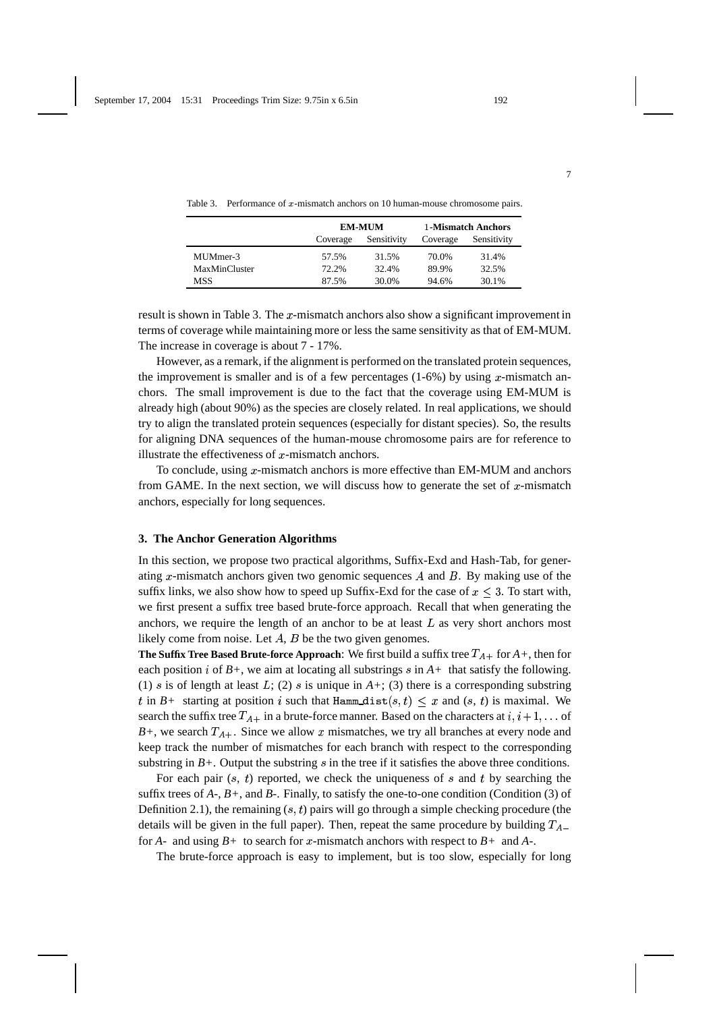|               |          | <b>EM-MUM</b> | 1-Mismatch Anchors |             |  |
|---------------|----------|---------------|--------------------|-------------|--|
|               | Coverage | Sensitivity   | Coverage           | Sensitivity |  |
| MUMmer-3      | 57.5%    | 31.5%         | 70.0%              | 31.4%       |  |
| MaxMinCluster | 72.2%    | 32.4%         | 89.9%              | 32.5%       |  |
| <b>MSS</b>    | 87.5%    | 30.0%         | 94.6%              | 30.1%       |  |

Table 3. Performance of  $x$ -mismatch anchors on 10 human-mouse chromosome pairs.

| result is shown in Table 3. The $x$ -mismatch anchors also show a significant improvement in |
|----------------------------------------------------------------------------------------------|
| terms of coverage while maintaining more or less the same sensitivity as that of EM-MUM.     |
| The increase in coverage is about 7 - 17%.                                                   |

However, as a remark, if the alignment is performed on the translated protein sequences, the improvement is smaller and is of a few percentages  $(1-6%)$  by using x-mismatch anchors. The small improvement is due to the fact that the coverage using EM-MUM is already high (about 90%) as the species are closely related. In real applications, we should try to align the translated protein sequences (especially for distant species). So, the results for aligning DNA sequences of the human-mouse chromosome pairs are for reference to illustrate the effectiveness of  $x$ -mismatch anchors.

To conclude, using  $x$ -mismatch anchors is more effective than EM-MUM and anchors from GAME. In the next section, we will discuss how to generate the set of  $x$ -mismatch anchors, especially for long sequences.

#### **3. The Anchor Generation Algorithms**

In this section, we propose two practical algorithms, Suffix-Exd and Hash-Tab, for generating x-mismatch anchors given two genomic sequences  $A$  and  $B$ . By making use of the suffix links, we also show how to speed up Suffix-Exd for the case of  $x \leq 3$ . To start with, we first present a suffix tree based brute-force approach. Recall that when generating the anchors, we require the length of an anchor to be at least  $L$  as very short anchors most likely come from noise. Let  $A$ ,  $B$  be the two given genomes.

**The Suffix Tree Based Brute-force Approach:** We first build a suffix tree  $T_{A+}$  for  $A+$ , then for each position  $i$  of  $B$ +, we aim at locating all substrings  $s$  in  $A$ + that satisfy the following. (1) *s* is of length at least L; (2) *s* is unique in  $A$ +; (3) there is a corresponding substring t in  $B$ + starting at position i such that Hamm\_dist $(s, t) \leq x$  and  $(s, t)$  is maximal. We search the suffix tree  $T_{A+}$  in a brute-force manner. Based on the characters at  $i, i+1, \ldots$  of  $B$ +, we search  $T_{A+}$ . Since we allow x mismatches, we try all branches at every node and keep track the number of mismatches for each branch with respect to the corresponding substring in  $B<sub>+</sub>$ . Output the substring  $s$  in the tree if it satisfies the above three conditions.

For each pair  $(s, t)$  reported, we check the uniqueness of  $s$  and  $t$  by searching the suffix trees of *A-*, *B+*, and *B-*. Finally, to satisfy the one-to-one condition (Condition (3) of Definition 2.1), the remaining  $(s, t)$  pairs will go through a simple checking procedure (the details will be given in the full paper). Then, repeat the same procedure by building  $T_{A-}$ for  $A$ - and using  $B$ + to search for x-mismatch anchors with respect to  $B$ + and  $A$ -.

The brute-force approach is easy to implement, but is too slow, especially for long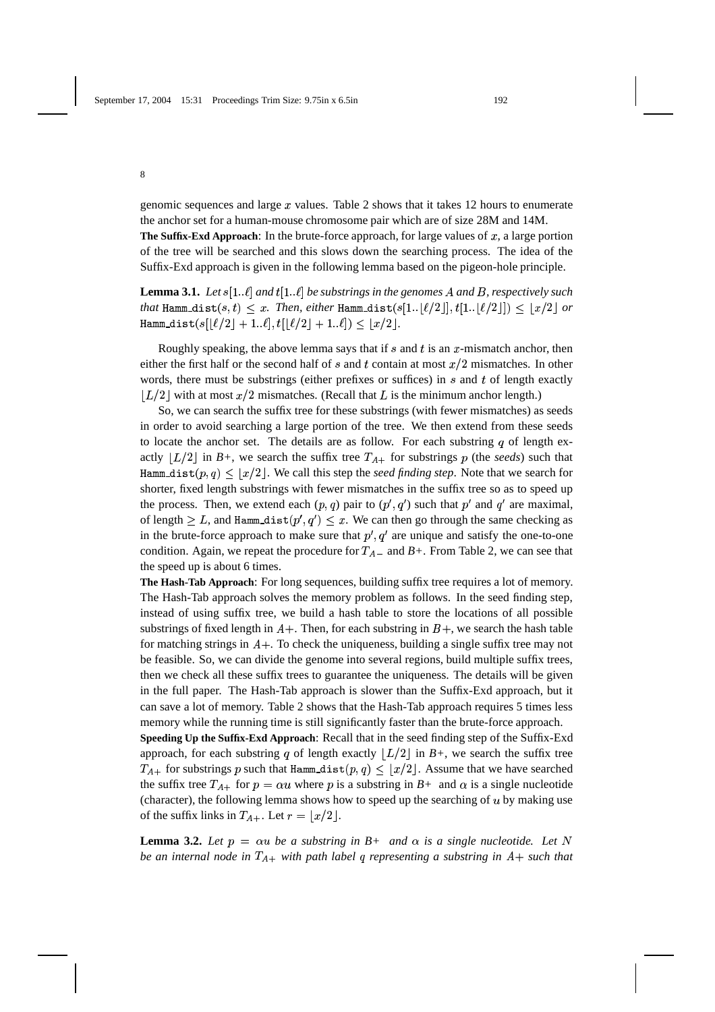genomic sequences and large  $x$  values. Table 2 shows that it takes 12 hours to enumerate the anchor set for a human-mouse chromosome pair which are of size 28M and 14M.

**The Suffix-Exd Approach:** In the brute-force approach, for large values of  $x$ , a large portion of the tree will be searched and this slows down the searching process. The idea of the Suffix-Exd approach is given in the following lemma based on the pigeon-hole principle.

**Lemma 3.1.** Let  $s[1..\ell]$  and  $t[1..\ell]$  be substrings in the genomes A and B, respectively such  $\mathit{that}$   $\texttt{Hamm\_dist}(s,t) \leq x$ . Then, either  $\texttt{Hamm\_dist}(s[1..|\ell/2]], t[1..|\ell/2]]) \leq \lfloor x/2 \rfloor$  or  $\texttt{Hamm\_dist}(s[\lfloor \ell/2 \rfloor + 1..\ell],t[\lfloor \ell/2 \rfloor + 1..\ell]) \leq \lfloor x/2 \rfloor.$ 

Roughly speaking, the above lemma says that if  $s$  and  $t$  is an  $x$ -mismatch anchor, then either the first half or the second half of s and t contain at most  $x/2$  mismatches. In other words, there must be substrings (either prefixes or suffices) in  $s$  and  $t$  of length exactly  $\lfloor L/2 \rfloor$  with at most  $x/2$  mismatches. (Recall that L is the minimum anchor length.)

So, we can search the suffix tree for these substrings (with fewer mismatches) as seeds in order to avoid searching a large portion of the tree. We then extend from these seeds to locate the anchor set. The details are as follow. For each substring  $q$  of length exactly  $\lfloor L/2 \rfloor$  in *B*+, we search the suffix tree  $T_{A+}$  for substrings p (the *seeds*) such that Hamm\_dist $(p, q) \leq \lfloor x/2 \rfloor$ . We call this step the *seed finding step*. Note that we search for shorter, fixed length substrings with fewer mismatches in the suffix tree so as to speed up the process. Then, we extend each  $(p, q)$  pair to  $(p', q')$  such that  $p'$  and  $q'$  are maximal, of length  $\geq L$ , and Hamm\_dist $(p', q') \leq x$ . We can then go through the same checking as in the brute-force approach to make sure that  $p'$ ,  $q'$  are unique and satisfy the one-to-one condition. Again, we repeat the procedure for  $T_{A-}$  and  $B+$ . From Table 2, we can see that the speed up is about 6 times.

**The Hash-Tab Approach**: For long sequences, building suffix tree requires a lot of memory. The Hash-Tab approach solves the memory problem as follows. In the seed finding step, instead of using suffix tree, we build a hash table to store the locations of all possible substrings of fixed length in  $A+$ . Then, for each substring in  $B+$ , we search the hash table for matching strings in  $A$  +. To check the uniqueness, building a single suffix tree may not be feasible. So, we can divide the genome into several regions, build multiple suffix trees, then we check all these suffix trees to guarantee the uniqueness. The details will be given in the full paper. The Hash-Tab approach is slower than the Suffix-Exd approach, but it can save a lot of memory. Table 2 shows that the Hash-Tab approach requires 5 times less memory while the running time is still significantly faster than the brute-force approach.

**Speeding Up the Suffix-Exd Approach**: Recall that in the seed finding step of the Suffix-Exd approach, for each substring q of length exactly  $\lfloor L/2 \rfloor$  in  $B+$ , we search the suffix tree  $T_{A+}$  for substrings p such that  $\text{Hamm\_dist}(p, q) \leq \lfloor x/2 \rfloor$ . Assume that we have searched the suffix tree  $T_{A+}$  for  $p = \alpha u$  where p is a substring in  $B+$  and  $\alpha$  is a single nucleotide (character), the following lemma shows how to speed up the searching of  $u$  by making use of the suffix links in  $T_{A+}$ . Let  $r = \lfloor x/2 \rfloor$ .

**Lemma 3.2.** Let  $p = \alpha u$  be a substring in  $B$ + and  $\alpha$  is a single nucleotide. Let N *be an internal node in*  $T_{A+}$  with path label q representing a substring in  $A+$  such that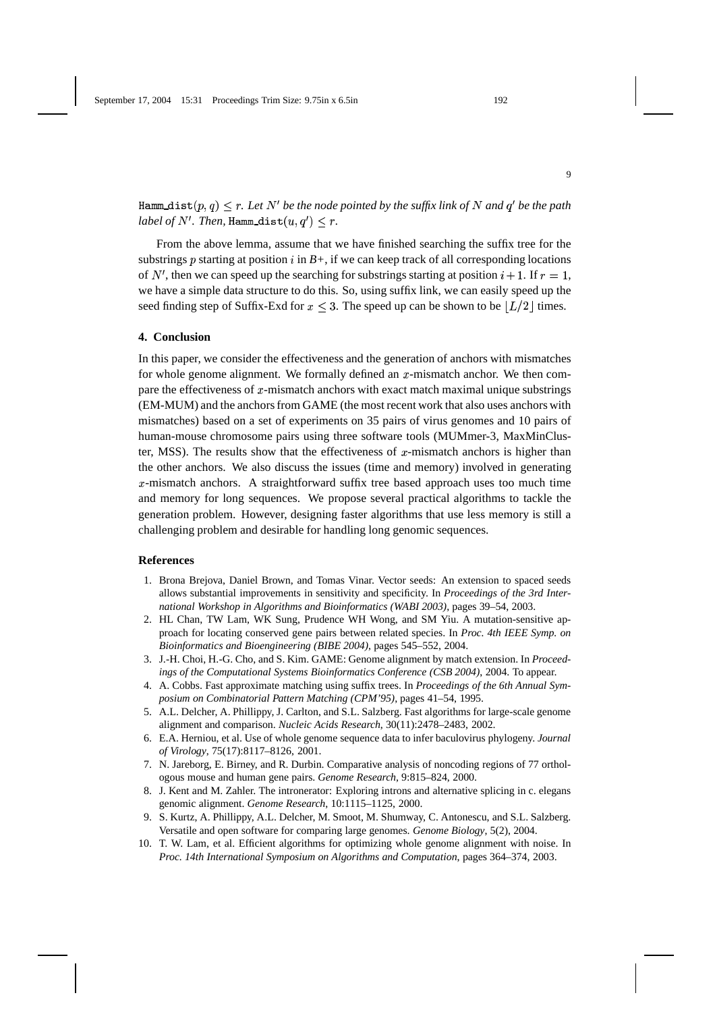<code>Hamm\_dist $(p,q) \leq r.$  Let  $N'$  be the node pointed by the suffix link of  $N$  and  $q'$  be the path</code>  $label$  of  $N'.$  Then,  $\texttt{Ham\_dist}(u,q') \leq r.$ 

From the above lemma, assume that we have finished searching the suffix tree for the substrings *p* starting at position *i* in  $B<sup>+</sup>$ , if we can keep track of all corresponding locations of N', then we can speed up the searching for substrings starting at position  $i + 1$ . If  $r = 1$ , we have a simple data structure to do this. So, using suffix link, we can easily speed up the seed finding step of Suffix-Exd for  $x \leq 3$ . The speed up can be shown to be  $\lfloor L/2 \rfloor$  times.

### **4. Conclusion**

In this paper, we consider the effectiveness and the generation of anchors with mismatches for whole genome alignment. We formally defined an  $x$ -mismatch anchor. We then compare the effectiveness of  $x$ -mismatch anchors with exact match maximal unique substrings (EM-MUM) and the anchors from GAME (the most recent work that also uses anchors with mismatches) based on a set of experiments on 35 pairs of virus genomes and 10 pairs of human-mouse chromosome pairs using three software tools (MUMmer-3, MaxMinCluster, MSS). The results show that the effectiveness of  $x$ -mismatch anchors is higher than the other anchors. We also discuss the issues (time and memory) involved in generating  $x$ -mismatch anchors. A straightforward suffix tree based approach uses too much time and memory for long sequences. We propose several practical algorithms to tackle the generation problem. However, designing faster algorithms that use less memory is still a challenging problem and desirable for handling long genomic sequences.

### **References**

- 1. Brona Brejova, Daniel Brown, and Tomas Vinar. Vector seeds: An extension to spaced seeds allows substantial improvements in sensitivity and specificity. In *Proceedings of the 3rd International Workshop in Algorithms and Bioinformatics (WABI 2003)*, pages 39–54, 2003.
- 2. HL Chan, TW Lam, WK Sung, Prudence WH Wong, and SM Yiu. A mutation-sensitive approach for locating conserved gene pairs between related species. In *Proc. 4th IEEE Symp. on Bioinformatics and Bioengineering (BIBE 2004)*, pages 545–552, 2004.
- 3. J.-H. Choi, H.-G. Cho, and S. Kim. GAME: Genome alignment by match extension. In *Proceedings of the Computational Systems Bioinformatics Conference (CSB 2004)*, 2004. To appear.
- 4. A. Cobbs. Fast approximate matching using suffix trees. In *Proceedings of the 6th Annual Symposium on Combinatorial Pattern Matching (CPM'95)*, pages 41–54, 1995.
- 5. A.L. Delcher, A. Phillippy, J. Carlton, and S.L. Salzberg. Fast algorithms for large-scale genome alignment and comparison. *Nucleic Acids Research*, 30(11):2478–2483, 2002.
- 6. E.A. Herniou, et al. Use of whole genome sequence data to infer baculovirus phylogeny. *Journal of Virology*, 75(17):8117–8126, 2001.
- 7. N. Jareborg, E. Birney, and R. Durbin. Comparative analysis of noncoding regions of 77 orthologous mouse and human gene pairs. *Genome Research*, 9:815–824, 2000.
- 8. J. Kent and M. Zahler. The intronerator: Exploring introns and alternative splicing in c. elegans genomic alignment. *Genome Research*, 10:1115–1125, 2000.
- 9. S. Kurtz, A. Phillippy, A.L. Delcher, M. Smoot, M. Shumway, C. Antonescu, and S.L. Salzberg. Versatile and open software for comparing large genomes. *Genome Biology*, 5(2), 2004.
- 10. T. W. Lam, et al. Efficient algorithms for optimizing whole genome alignment with noise. In *Proc. 14th International Symposium on Algorithms and Computation*, pages 364–374, 2003.